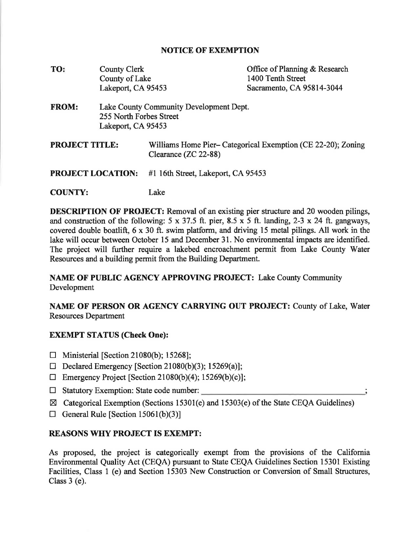## **NOTICE OF EXEMPTION**

| TO:                      | <b>County Clerk</b>                                                                      |                                                                                     | Office of Planning & Research |
|--------------------------|------------------------------------------------------------------------------------------|-------------------------------------------------------------------------------------|-------------------------------|
|                          | County of Lake                                                                           |                                                                                     | 1400 Tenth Street             |
|                          | Lakeport, CA 95453                                                                       |                                                                                     | Sacramento, CA 95814-3044     |
| <b>FROM:</b>             | Lake County Community Development Dept.<br>255 North Forbes Street<br>Lakeport, CA 95453 |                                                                                     |                               |
| <b>PROJECT TITLE:</b>    |                                                                                          | Williams Home Pier-Categorical Exemption (CE 22-20); Zoning<br>Clearance (ZC 22-88) |                               |
| <b>PROJECT LOCATION:</b> |                                                                                          | #1 16th Street, Lakeport, CA 95453                                                  |                               |
| <b>COUNTY:</b>           |                                                                                          | Lake                                                                                |                               |

**DESCRIPTION OF PROJECT:** Removal of an existing pier structure and 20 wooden pilings, and construction of the following:  $5 \times 37.5$  ft. pier,  $8.5 \times 5$  ft. landing,  $2-3 \times 24$  ft. gangways, covered double boatlift, 6 x 30 ft. swim platform, and driving 15 metal pilings. All work in the lake will occur between October 15 and December 31. No environmental impacts are identified. The project will further require a lakebed encroachment permit from Lake County Water Resources and a building permit from the Building Department.

**NAME OF PUBLIC AGENCY APPROVING PROJECT:** Lake County Community Development

**NAME OF PERSON OR AGENCY CARRYING OUT PROJECT:** County of Lake, Water Resources Department

## **EXEMPT STATUS (Check One):**

- □ Ministerial [Section 21080(b); 15268];
- $\Box$  Declared Emergency [Section 21080(b)(3); 15269(a)];
- $\Box$  Emergency Project [Section 21080(b)(4); 15269(b)(c)];
- □ Statutory Exemption: State code number:
- $\boxtimes$  Categorical Exemption (Sections 15301(e) and 15303(e) of the State CEQA Guidelines)
- $\Box$  General Rule [Section 15061(b)(3)]

## **REASONS WHY PROJECT IS EXEMPT:**

As proposed, the project is categorically exempt from the provisions of the California Environmental Quality Act (CEQA) pursuant to State CEQA Guidelines Section 15301 Existing Facilities, Class 1 (e) and Section 15303 New Construction or Conversion of Small Structures, Class 3 (e).